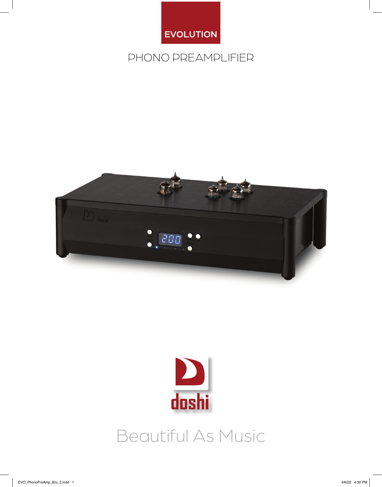

### PHONO PREAMPLIFIER





## Beautiful As Music